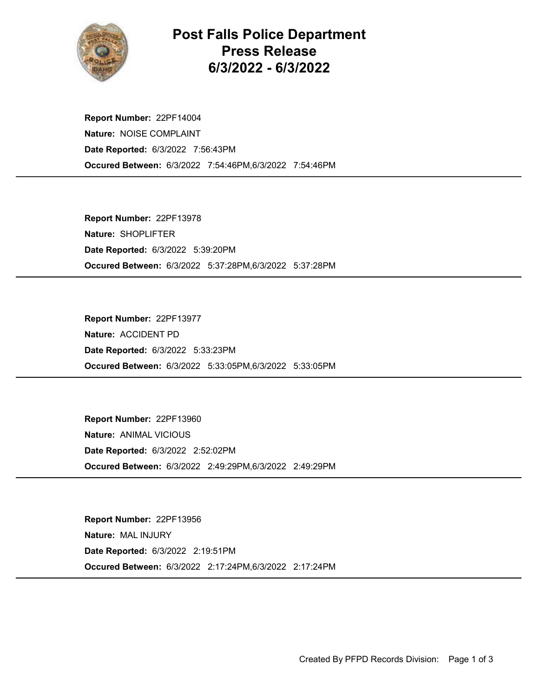

## Post Falls Police Department Press Release 6/3/2022 - 6/3/2022

Occured Between: 6/3/2022 7:54:46PM,6/3/2022 7:54:46PM Report Number: 22PF14004 Nature: NOISE COMPLAINT Date Reported: 6/3/2022 7:56:43PM

Occured Between: 6/3/2022 5:37:28PM,6/3/2022 5:37:28PM Report Number: 22PF13978 Nature: SHOPLIFTER Date Reported: 6/3/2022 5:39:20PM

Occured Between: 6/3/2022 5:33:05PM,6/3/2022 5:33:05PM Report Number: 22PF13977 Nature: ACCIDENT PD Date Reported: 6/3/2022 5:33:23PM

Occured Between: 6/3/2022 2:49:29PM,6/3/2022 2:49:29PM Report Number: 22PF13960 Nature: ANIMAL VICIOUS Date Reported: 6/3/2022 2:52:02PM

Occured Between: 6/3/2022 2:17:24PM,6/3/2022 2:17:24PM Report Number: 22PF13956 Nature: MAL INJURY Date Reported: 6/3/2022 2:19:51PM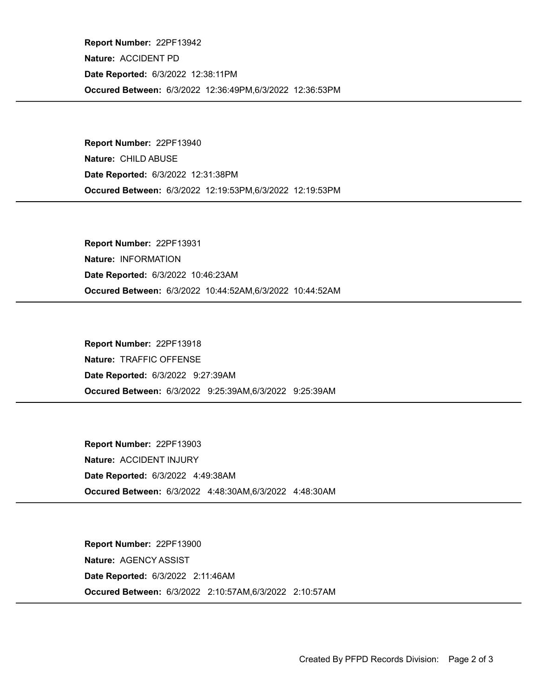Occured Between: 6/3/2022 12:36:49PM,6/3/2022 12:36:53PM Report Number: 22PF13942 Nature: ACCIDENT PD Date Reported: 6/3/2022 12:38:11PM

Occured Between: 6/3/2022 12:19:53PM,6/3/2022 12:19:53PM Report Number: 22PF13940 Nature: CHILD ABUSE Date Reported: 6/3/2022 12:31:38PM

Occured Between: 6/3/2022 10:44:52AM,6/3/2022 10:44:52AM Report Number: 22PF13931 Nature: INFORMATION Date Reported: 6/3/2022 10:46:23AM

Occured Between: 6/3/2022 9:25:39AM,6/3/2022 9:25:39AM Report Number: 22PF13918 Nature: TRAFFIC OFFENSE Date Reported: 6/3/2022 9:27:39AM

Occured Between: 6/3/2022 4:48:30AM,6/3/2022 4:48:30AM Report Number: 22PF13903 Nature: ACCIDENT INJURY Date Reported: 6/3/2022 4:49:38AM

Occured Between: 6/3/2022 2:10:57AM,6/3/2022 2:10:57AM Report Number: 22PF13900 Nature: AGENCY ASSIST Date Reported: 6/3/2022 2:11:46AM